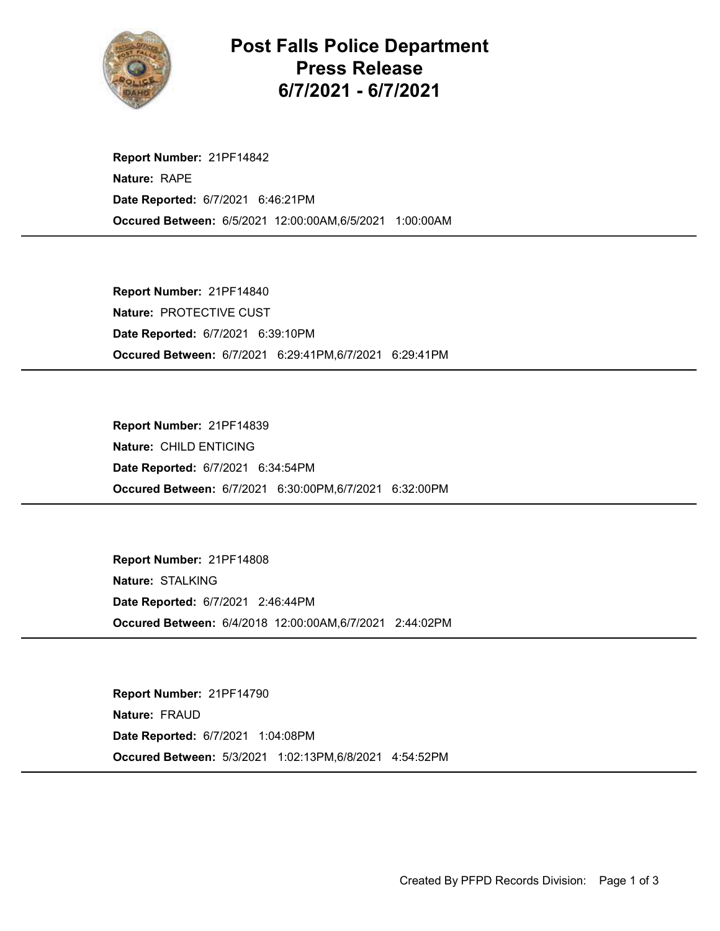

## Post Falls Police Department Press Release 6/7/2021 - 6/7/2021

Occured Between: 6/5/2021 12:00:00AM,6/5/2021 1:00:00AM Report Number: 21PF14842 Nature: RAPE Date Reported: 6/7/2021 6:46:21PM

Occured Between: 6/7/2021 6:29:41PM,6/7/2021 6:29:41PM Report Number: 21PF14840 Nature: PROTECTIVE CUST Date Reported: 6/7/2021 6:39:10PM

Occured Between: 6/7/2021 6:30:00PM,6/7/2021 6:32:00PM Report Number: 21PF14839 Nature: CHILD ENTICING Date Reported: 6/7/2021 6:34:54PM

Occured Between: 6/4/2018 12:00:00AM,6/7/2021 2:44:02PM Report Number: 21PF14808 Nature: STALKING Date Reported: 6/7/2021 2:46:44PM

Occured Between: 5/3/2021 1:02:13PM,6/8/2021 4:54:52PM Report Number: 21PF14790 Nature: FRAUD Date Reported: 6/7/2021 1:04:08PM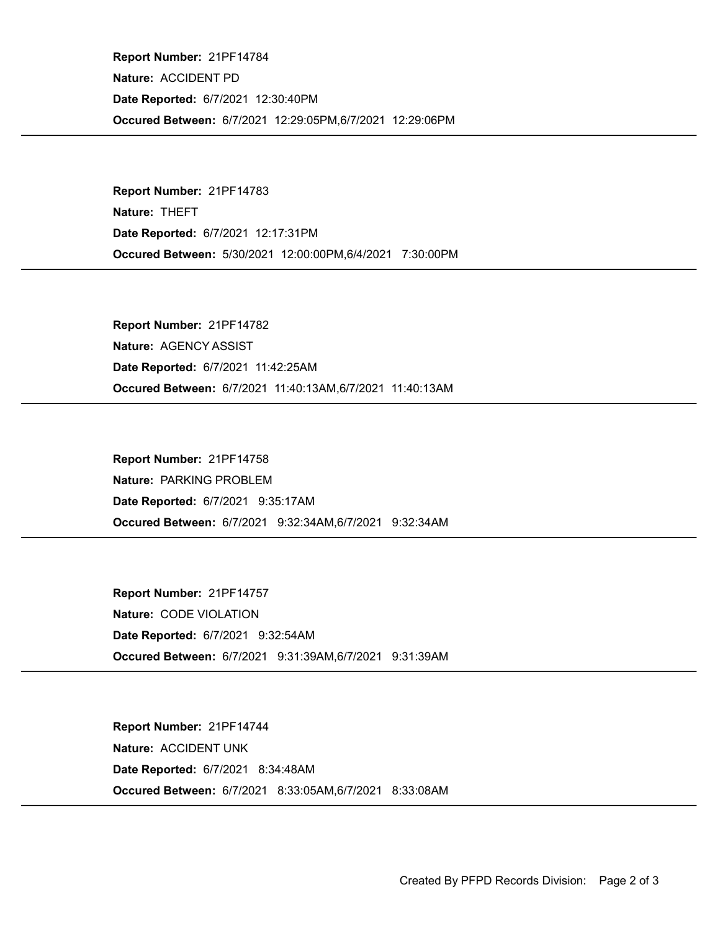Occured Between: 6/7/2021 12:29:05PM,6/7/2021 12:29:06PM Report Number: 21PF14784 Nature: ACCIDENT PD Date Reported: 6/7/2021 12:30:40PM

Occured Between: 5/30/2021 12:00:00PM,6/4/2021 7:30:00PM Report Number: 21PF14783 Nature: THEFT Date Reported: 6/7/2021 12:17:31PM

Occured Between: 6/7/2021 11:40:13AM,6/7/2021 11:40:13AM Report Number: 21PF14782 Nature: AGENCY ASSIST Date Reported: 6/7/2021 11:42:25AM

Occured Between: 6/7/2021 9:32:34AM,6/7/2021 9:32:34AM Report Number: 21PF14758 Nature: PARKING PROBLEM Date Reported: 6/7/2021 9:35:17AM

Occured Between: 6/7/2021 9:31:39AM,6/7/2021 9:31:39AM Report Number: 21PF14757 Nature: CODE VIOLATION Date Reported: 6/7/2021 9:32:54AM

Occured Between: 6/7/2021 8:33:05AM,6/7/2021 8:33:08AM Report Number: 21PF14744 Nature: ACCIDENT UNK Date Reported: 6/7/2021 8:34:48AM